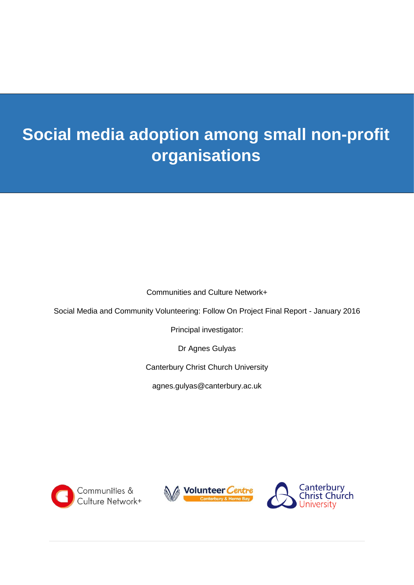# **Social media adoption among small non-profit organisations**

Communities and Culture Network+

Social Media and Community Volunteering: Follow On Project Final Report - January 2016

Principal investigator:

Dr Agnes Gulyas

Canterbury Christ Church University

agnes.gulyas@canterbury.ac.uk





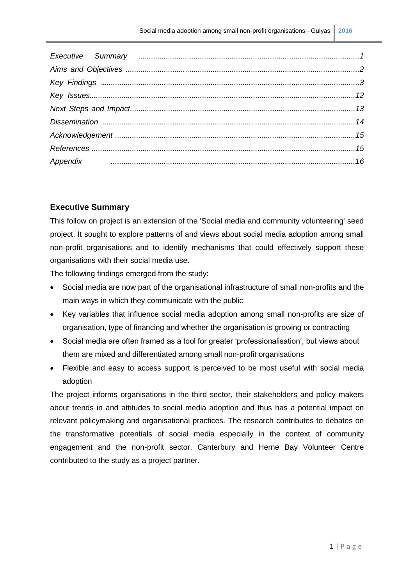## **Executive Summary**

This follow on project is an extension of the 'Social media and community volunteering' seed project. It sought to explore patterns of and views about social media adoption among small non-profit organisations and to identify mechanisms that could effectively support these organisations with their social media use.

The following findings emerged from the study:

- Social media are now part of the organisational infrastructure of small non-profits and the main ways in which they communicate with the public
- Key variables that influence social media adoption among small non-profits are size of organisation, type of financing and whether the organisation is growing or contracting
- Social media are often framed as a tool for greater 'professionalisation', but views about them are mixed and differentiated among small non-profit organisations
- Flexible and easy to access support is perceived to be most useful with social media adoption

The project informs organisations in the third sector, their stakeholders and policy makers about trends in and attitudes to social media adoption and thus has a potential impact on relevant policymaking and organisational practices. The research contributes to debates on the transformative potentials of social media especially in the context of community engagement and the non-profit sector. Canterbury and Herne Bay Volunteer Centre contributed to the study as a project partner.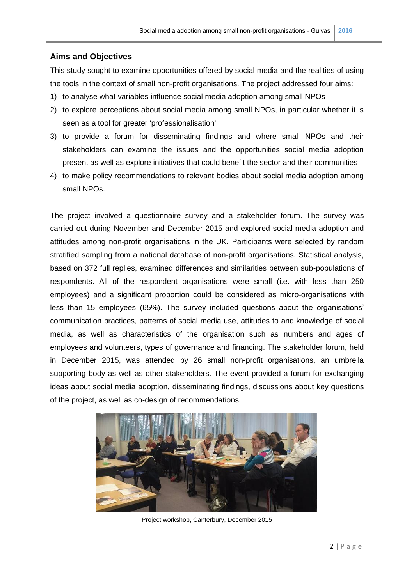#### **Aims and Objectives**

This study sought to examine opportunities offered by social media and the realities of using the tools in the context of small non-profit organisations. The project addressed four aims:

- 1) to analyse what variables influence social media adoption among small NPOs
- 2) to explore perceptions about social media among small NPOs, in particular whether it is seen as a tool for greater 'professionalisation'
- 3) to provide a forum for disseminating findings and where small NPOs and their stakeholders can examine the issues and the opportunities social media adoption present as well as explore initiatives that could benefit the sector and their communities
- 4) to make policy recommendations to relevant bodies about social media adoption among small NPOs.

The project involved a questionnaire survey and a stakeholder forum. The survey was carried out during November and December 2015 and explored social media adoption and attitudes among non-profit organisations in the UK. Participants were selected by random stratified sampling from a national database of non-profit organisations. Statistical analysis, based on 372 full replies, examined differences and similarities between sub-populations of respondents. All of the respondent organisations were small (i.e. with less than 250 employees) and a significant proportion could be considered as micro-organisations with less than 15 employees (65%). The survey included questions about the organisations' communication practices, patterns of social media use, attitudes to and knowledge of social media, as well as characteristics of the organisation such as numbers and ages of employees and volunteers, types of governance and financing. The stakeholder forum, held in December 2015, was attended by 26 small non-profit organisations, an umbrella supporting body as well as other stakeholders. The event provided a forum for exchanging ideas about social media adoption, disseminating findings, discussions about key questions of the project, as well as co-design of recommendations.



Project workshop, Canterbury, December 2015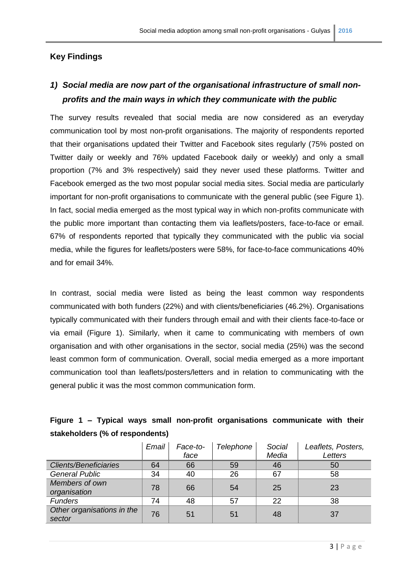## **Key Findings**

# *1) Social media are now part of the organisational infrastructure of small nonprofits and the main ways in which they communicate with the public*

The survey results revealed that social media are now considered as an everyday communication tool by most non-profit organisations. The majority of respondents reported that their organisations updated their Twitter and Facebook sites regularly (75% posted on Twitter daily or weekly and 76% updated Facebook daily or weekly) and only a small proportion (7% and 3% respectively) said they never used these platforms. Twitter and Facebook emerged as the two most popular social media sites. Social media are particularly important for non-profit organisations to communicate with the general public (see Figure 1). In fact, social media emerged as the most typical way in which non-profits communicate with the public more important than contacting them via leaflets/posters, face-to-face or email. 67% of respondents reported that typically they communicated with the public via social media, while the figures for leaflets/posters were 58%, for face-to-face communications 40% and for email 34%.

In contrast, social media were listed as being the least common way respondents communicated with both funders (22%) and with clients/beneficiaries (46.2%). Organisations typically communicated with their funders through email and with their clients face-to-face or via email (Figure 1). Similarly, when it came to communicating with members of own organisation and with other organisations in the sector, social media (25%) was the second least common form of communication. Overall, social media emerged as a more important communication tool than leaflets/posters/letters and in relation to communicating with the general public it was the most common communication form.

## **Figure 1 – Typical ways small non-profit organisations communicate with their stakeholders (% of respondents)**

|                                      | Email | Face-to- | Telephone | Social | Leaflets, Posters, |
|--------------------------------------|-------|----------|-----------|--------|--------------------|
|                                      |       | face     |           | Media  | Letters            |
| <b>Clients/Beneficiaries</b>         | 64    | 66       | 59        | 46     | 50                 |
| <b>General Public</b>                | 34    | 40       | 26        | 67     | 58                 |
| Members of own<br>organisation       | 78    | 66       | 54        | 25     | 23                 |
| <b>Funders</b>                       | 74    | 48       | 57        | 22     | 38                 |
| Other organisations in the<br>sector | 76    | 51       | 51        | 48     | 37                 |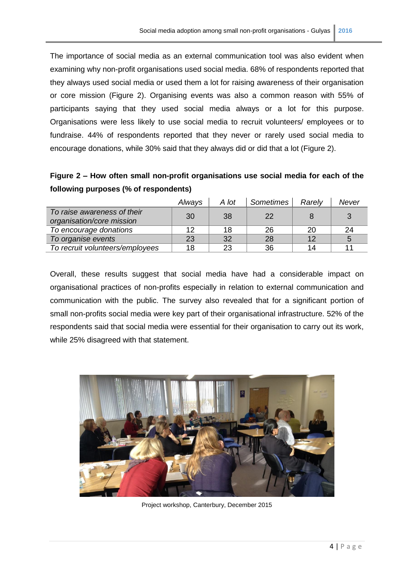The importance of social media as an external communication tool was also evident when examining why non-profit organisations used social media. 68% of respondents reported that they always used social media or used them a lot for raising awareness of their organisation or core mission (Figure 2). Organising events was also a common reason with 55% of participants saying that they used social media always or a lot for this purpose. Organisations were less likely to use social media to recruit volunteers/ employees or to fundraise. 44% of respondents reported that they never or rarely used social media to encourage donations, while 30% said that they always did or did that a lot (Figure 2).

| Figure 2 - How often small non-profit organisations use social media for each of the |  |  |  |
|--------------------------------------------------------------------------------------|--|--|--|
| following purposes (% of respondents)                                                |  |  |  |

|                                                          | Always | A lot | Sometimes | Rarely | Never |
|----------------------------------------------------------|--------|-------|-----------|--------|-------|
| To raise awareness of their<br>organisation/core mission | 30     | 38    | 22        |        | 3     |
| To encourage donations                                   | 12     | 18    | 26        | 20     | 24    |
| To organise events                                       | 23     | 32    | 28        | 12     | 5     |
| To recruit volunteers/employees                          | 18     | 23    | 36        | 14     | 11    |

Overall, these results suggest that social media have had a considerable impact on organisational practices of non-profits especially in relation to external communication and communication with the public. The survey also revealed that for a significant portion of small non-profits social media were key part of their organisational infrastructure. 52% of the respondents said that social media were essential for their organisation to carry out its work, while 25% disagreed with that statement.



Project workshop, Canterbury, December 2015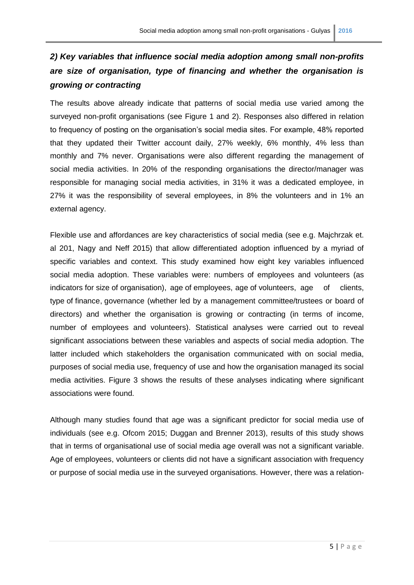# *2) Key variables that influence social media adoption among small non-profits are size of organisation, type of financing and whether the organisation is growing or contracting*

The results above already indicate that patterns of social media use varied among the surveyed non-profit organisations (see Figure 1 and 2). Responses also differed in relation to frequency of posting on the organisation's social media sites. For example, 48% reported that they updated their Twitter account daily, 27% weekly, 6% monthly, 4% less than monthly and 7% never. Organisations were also different regarding the management of social media activities. In 20% of the responding organisations the director/manager was responsible for managing social media activities, in 31% it was a dedicated employee, in 27% it was the responsibility of several employees, in 8% the volunteers and in 1% an external agency.

Flexible use and affordances are key characteristics of social media (see e.g. Majchrzak et. al 201, Nagy and Neff 2015) that allow differentiated adoption influenced by a myriad of specific variables and context. This study examined how eight key variables influenced social media adoption. These variables were: numbers of employees and volunteers (as indicators for size of organisation), age of employees, age of volunteers, age of clients, type of finance, governance (whether led by a management committee/trustees or board of directors) and whether the organisation is growing or contracting (in terms of income, number of employees and volunteers). Statistical analyses were carried out to reveal significant associations between these variables and aspects of social media adoption. The latter included which stakeholders the organisation communicated with on social media, purposes of social media use, frequency of use and how the organisation managed its social media activities. Figure 3 shows the results of these analyses indicating where significant associations were found.

Although many studies found that age was a significant predictor for social media use of individuals (see e.g. Ofcom 2015; Duggan and Brenner 2013), results of this study shows that in terms of organisational use of social media age overall was not a significant variable. Age of employees, volunteers or clients did not have a significant association with frequency or purpose of social media use in the surveyed organisations. However, there was a relation-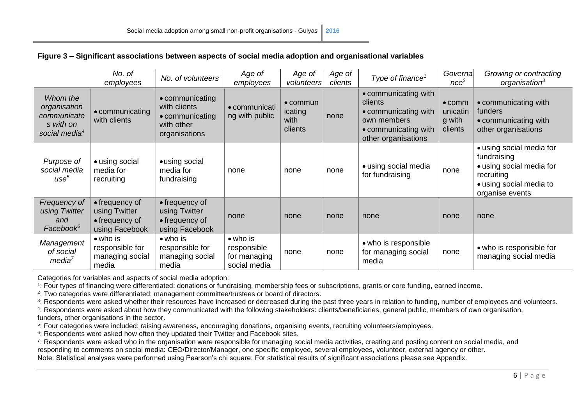|                                                                                   | No. of<br>employees                                                 | No. of volunteers                                                                 | Age of<br>employees                                             | Age of<br>volunteers                           | Age of<br>clients | Type of finance <sup><math>1</math></sup>                                                                             | Governa<br>nce <sup>2</sup>                     | Growing or contracting<br>organisation <sup>3</sup>                                                                             |
|-----------------------------------------------------------------------------------|---------------------------------------------------------------------|-----------------------------------------------------------------------------------|-----------------------------------------------------------------|------------------------------------------------|-------------------|-----------------------------------------------------------------------------------------------------------------------|-------------------------------------------------|---------------------------------------------------------------------------------------------------------------------------------|
| Whom the<br>organisation<br>communicate<br>s with on<br>social media <sup>4</sup> | • communicating<br>with clients                                     | • communicating<br>with clients<br>• communicating<br>with other<br>organisations | • communicati<br>ng with public                                 | $\bullet$ commun<br>icating<br>with<br>clients | none              | • communicating with<br>clients<br>• communicating with<br>own members<br>• communicating with<br>other organisations | $\bullet$ comm<br>unicatin<br>g with<br>clients | • communicating with<br>funders<br>• communicating with<br>other organisations                                                  |
| Purpose of<br>social media<br>use <sup>5</sup>                                    | • using social<br>media for<br>recruiting                           | • using social<br>media for<br>fundraising                                        | none                                                            | none                                           | none              | • using social media<br>for fundraising                                                                               | none                                            | • using social media for<br>fundraising<br>• using social media for<br>recruiting<br>• using social media to<br>organise events |
| Frequency of<br>using Twitter<br>and<br>Facebook <sup>6</sup>                     | • frequency of<br>using Twitter<br>• frequency of<br>using Facebook | • frequency of<br>using Twitter<br>• frequency of<br>using Facebook               | none                                                            | none                                           | none              | none                                                                                                                  | none                                            | none                                                                                                                            |
| Management<br>of social<br>media <sup>7</sup>                                     | $\bullet$ who is<br>responsible for<br>managing social<br>media     | $\bullet$ who is<br>responsible for<br>managing social<br>media                   | $\bullet$ who is<br>responsible<br>for managing<br>social media | none                                           | none              | • who is responsible<br>for managing social<br>media                                                                  | none                                            | • who is responsible for<br>managing social media                                                                               |

## **Figure 3 – Significant associations between aspects of social media adoption and organisational variables**

Categories for variables and aspects of social media adoption:

1 : Four types of financing were differentiated: donations or fundraising, membership fees or subscriptions, grants or core funding, earned income.

2 : Two categories were differentiated: management committee/trustees or board of directors.

<sup>3</sup>: Respondents were asked whether their resources have increased or decreased during the past three years in relation to funding, number of employees and volunteers.

4 : Respondents were asked about how they communicated with the following stakeholders: clients/beneficiaries, general public, members of own organisation,

funders, other organisations in the sector.

5 : Four categories were included: raising awareness, encouraging donations, organising events, recruiting volunteers/employees.

 $6$ : Respondents were asked how often they updated their Twitter and Facebook sites.

7 : Respondents were asked who in the organisation were responsible for managing social media activities, creating and posting content on social media, and responding to comments on social media: CEO/Director/Manager, one specific employee, several employees, volunteer, external agency or other.

Note: Statistical analyses were performed using Pearson's chi square. For statistical results of significant associations please see Appendix.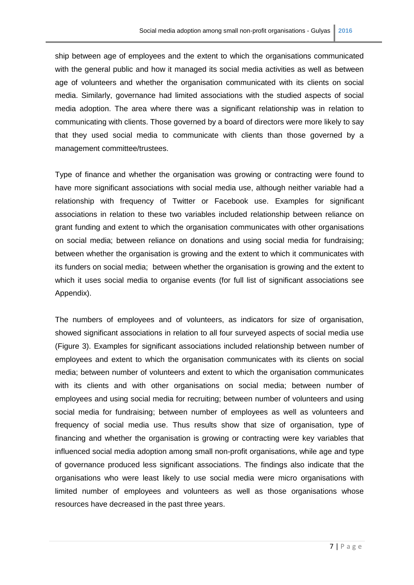ship between age of employees and the extent to which the organisations communicated with the general public and how it managed its social media activities as well as between age of volunteers and whether the organisation communicated with its clients on social media. Similarly, governance had limited associations with the studied aspects of social media adoption. The area where there was a significant relationship was in relation to communicating with clients. Those governed by a board of directors were more likely to say that they used social media to communicate with clients than those governed by a management committee/trustees.

Type of finance and whether the organisation was growing or contracting were found to have more significant associations with social media use, although neither variable had a relationship with frequency of Twitter or Facebook use. Examples for significant associations in relation to these two variables included relationship between reliance on grant funding and extent to which the organisation communicates with other organisations on social media; between reliance on donations and using social media for fundraising; between whether the organisation is growing and the extent to which it communicates with its funders on social media; between whether the organisation is growing and the extent to which it uses social media to organise events (for full list of significant associations see Appendix).

The numbers of employees and of volunteers, as indicators for size of organisation, showed significant associations in relation to all four surveyed aspects of social media use (Figure 3). Examples for significant associations included relationship between number of employees and extent to which the organisation communicates with its clients on social media; between number of volunteers and extent to which the organisation communicates with its clients and with other organisations on social media; between number of employees and using social media for recruiting; between number of volunteers and using social media for fundraising; between number of employees as well as volunteers and frequency of social media use. Thus results show that size of organisation, type of financing and whether the organisation is growing or contracting were key variables that influenced social media adoption among small non-profit organisations, while age and type of governance produced less significant associations. The findings also indicate that the organisations who were least likely to use social media were micro organisations with limited number of employees and volunteers as well as those organisations whose resources have decreased in the past three years.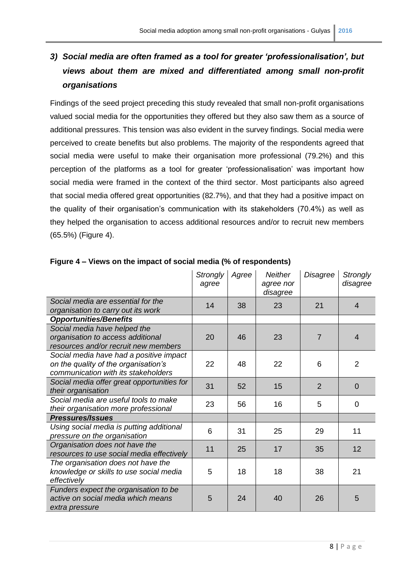# *3) Social media are often framed as a tool for greater 'professionalisation', but views about them are mixed and differentiated among small non-profit organisations*

Findings of the seed project preceding this study revealed that small non-profit organisations valued social media for the opportunities they offered but they also saw them as a source of additional pressures. This tension was also evident in the survey findings. Social media were perceived to create benefits but also problems. The majority of the respondents agreed that social media were useful to make their organisation more professional (79.2%) and this perception of the platforms as a tool for greater 'professionalisation' was important how social media were framed in the context of the third sector. Most participants also agreed that social media offered great opportunities (82.7%), and that they had a positive impact on the quality of their organisation's communication with its stakeholders (70.4%) as well as they helped the organisation to access additional resources and/or to recruit new members (65.5%) (Figure 4).

|                                                                                                                        | <b>Strongly</b><br>agree | Agree | <b>Neither</b><br>agree nor<br>disagree | Disagree       | <b>Strongly</b><br>disagree |
|------------------------------------------------------------------------------------------------------------------------|--------------------------|-------|-----------------------------------------|----------------|-----------------------------|
| Social media are essential for the<br>organisation to carry out its work                                               | 14                       | 38    | 23                                      | 21             | $\overline{4}$              |
| <b>Opportunities/Benefits</b>                                                                                          |                          |       |                                         |                |                             |
| Social media have helped the                                                                                           |                          |       |                                         |                |                             |
| organisation to access additional                                                                                      | 20                       | 46    | 23                                      | $\overline{7}$ | $\overline{4}$              |
| resources and/or recruit new members                                                                                   |                          |       |                                         |                |                             |
| Social media have had a positive impact<br>on the quality of the organisation's<br>communication with its stakeholders | 22                       | 48    | 22                                      | 6              | $\overline{2}$              |
|                                                                                                                        |                          |       |                                         |                |                             |
| Social media offer great opportunities for<br>their organisation                                                       | 31                       | 52    | 15                                      | $\overline{2}$ | $\overline{0}$              |
| Social media are useful tools to make<br>their organisation more professional                                          | 23                       | 56    | 16                                      | 5              | 0                           |
| <b>Pressures/Issues</b>                                                                                                |                          |       |                                         |                |                             |
| Using social media is putting additional<br>pressure on the organisation                                               | 6                        | 31    | 25                                      | 29             | 11                          |
| Organisation does not have the<br>resources to use social media effectively                                            | 11                       | 25    | 17                                      | 35             | 12                          |
| The organisation does not have the<br>knowledge or skills to use social media<br>effectively                           | 5                        | 18    | 18                                      | 38             | 21                          |
| Funders expect the organisation to be<br>active on social media which means<br>extra pressure                          | 5                        | 24    | 40                                      | 26             | 5                           |

### **Figure 4 – Views on the impact of social media (% of respondents)**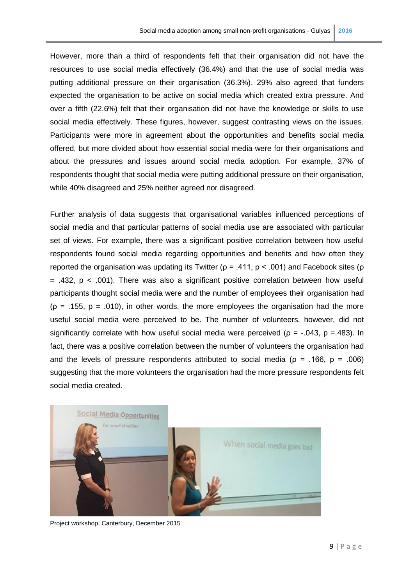However, more than a third of respondents felt that their organisation did not have the resources to use social media effectively (36.4%) and that the use of social media was putting additional pressure on their organisation (36.3%). 29% also agreed that funders expected the organisation to be active on social media which created extra pressure. And over a fifth (22.6%) felt that their organisation did not have the knowledge or skills to use social media effectively. These figures, however, suggest contrasting views on the issues. Participants were more in agreement about the opportunities and benefits social media offered, but more divided about how essential social media were for their organisations and about the pressures and issues around social media adoption. For example, 37% of respondents thought that social media were putting additional pressure on their organisation, while 40% disagreed and 25% neither agreed nor disagreed.

Further analysis of data suggests that organisational variables influenced perceptions of social media and that particular patterns of social media use are associated with particular set of views. For example, there was a significant positive correlation between how useful respondents found social media regarding opportunities and benefits and how often they reported the organisation was updating its Twitter ( $\rho = .411$ ,  $p < .001$ ) and Facebook sites ( $\rho$  $=$  .432, p  $<$  .001). There was also a significant positive correlation between how useful participants thought social media were and the number of employees their organisation had ( $\rho$  = .155,  $p = .010$ ), in other words, the more employees the organisation had the more useful social media were perceived to be. The number of volunteers, however, did not significantly correlate with how useful social media were perceived ( $p = -0.043$ ,  $p = 0.483$ ). In fact, there was a positive correlation between the number of volunteers the organisation had and the levels of pressure respondents attributed to social media ( $p = .166$ ,  $p = .006$ ) suggesting that the more volunteers the organisation had the more pressure respondents felt social media created.



Project workshop, Canterbury, December 2015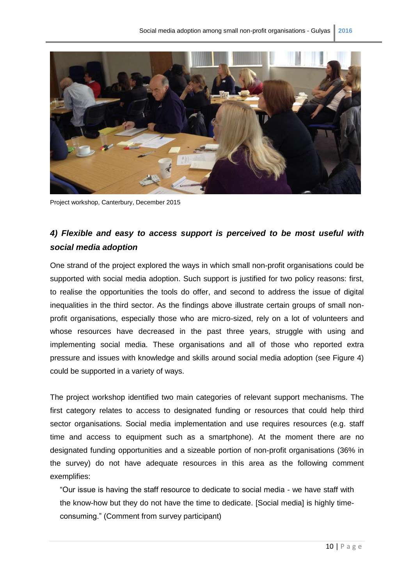

Project workshop, Canterbury, December 2015

# *4) Flexible and easy to access support is perceived to be most useful with social media adoption*

One strand of the project explored the ways in which small non-profit organisations could be supported with social media adoption. Such support is justified for two policy reasons: first, to realise the opportunities the tools do offer, and second to address the issue of digital inequalities in the third sector. As the findings above illustrate certain groups of small nonprofit organisations, especially those who are micro-sized, rely on a lot of volunteers and whose resources have decreased in the past three years, struggle with using and implementing social media. These organisations and all of those who reported extra pressure and issues with knowledge and skills around social media adoption (see Figure 4) could be supported in a variety of ways.

The project workshop identified two main categories of relevant support mechanisms. The first category relates to access to designated funding or resources that could help third sector organisations. Social media implementation and use requires resources (e.g. staff time and access to equipment such as a smartphone). At the moment there are no designated funding opportunities and a sizeable portion of non-profit organisations (36% in the survey) do not have adequate resources in this area as the following comment exemplifies:

"Our issue is having the staff resource to dedicate to social media - we have staff with the know-how but they do not have the time to dedicate. [Social media] is highly timeconsuming." (Comment from survey participant)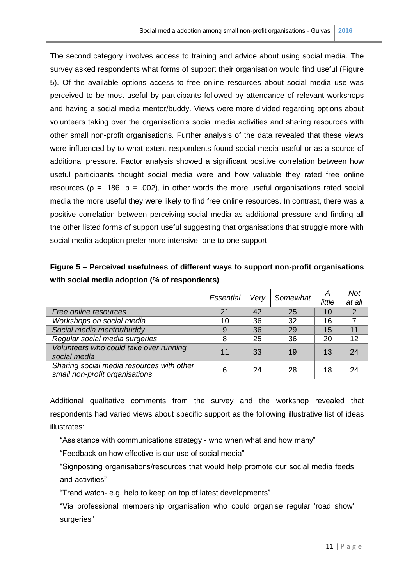The second category involves access to training and advice about using social media. The survey asked respondents what forms of support their organisation would find useful (Figure 5). Of the available options access to free online resources about social media use was perceived to be most useful by participants followed by attendance of relevant workshops and having a social media mentor/buddy. Views were more divided regarding options about volunteers taking over the organisation's social media activities and sharing resources with other small non-profit organisations. Further analysis of the data revealed that these views were influenced by to what extent respondents found social media useful or as a source of additional pressure. Factor analysis showed a significant positive correlation between how useful participants thought social media were and how valuable they rated free online resources ( $p = .186$ ,  $p = .002$ ), in other words the more useful organisations rated social media the more useful they were likely to find free online resources. In contrast, there was a positive correlation between perceiving social media as additional pressure and finding all the other listed forms of support useful suggesting that organisations that struggle more with social media adoption prefer more intensive, one-to-one support.

# **Figure 5 – Perceived usefulness of different ways to support non-profit organisations with social media adoption (% of respondents)**

|                                                                             | <b>Essential</b> | Very | Somewhat | Α<br>little | Not<br>at all |
|-----------------------------------------------------------------------------|------------------|------|----------|-------------|---------------|
| Free online resources                                                       | 21               | 42   | 25       | 10          | 2             |
| Workshops on social media                                                   | 10               | 36   | 32       | 16          |               |
| Social media mentor/buddy                                                   | 9                | 36   | 29       | 15          | 11            |
| Regular social media surgeries                                              | 8                | 25   | 36       | 20          | 12            |
| Volunteers who could take over running<br>social media                      | 11               | 33   | 19       | 13          | 24            |
| Sharing social media resources with other<br>small non-profit organisations | 6                | 24   | 28       | 18          | 24            |

Additional qualitative comments from the survey and the workshop revealed that respondents had varied views about specific support as the following illustrative list of ideas illustrates:

"Assistance with communications strategy - who when what and how many"

"Feedback on how effective is our use of social media"

"Signposting organisations/resources that would help promote our social media feeds and activities"

"Trend watch- e.g. help to keep on top of latest developments"

"Via professional membership organisation who could organise regular 'road show' surgeries"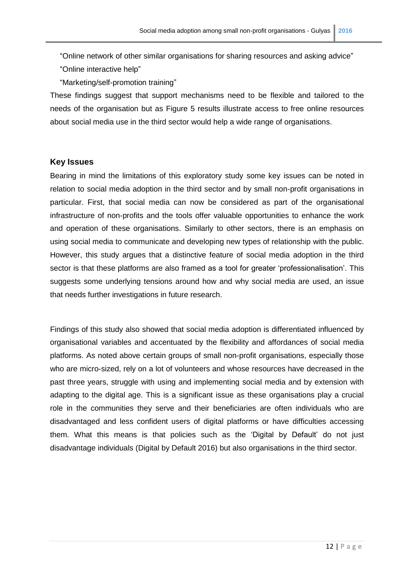"Online network of other similar organisations for sharing resources and asking advice"

"Online interactive help"

"Marketing/self-promotion training"

These findings suggest that support mechanisms need to be flexible and tailored to the needs of the organisation but as Figure 5 results illustrate access to free online resources about social media use in the third sector would help a wide range of organisations.

#### **Key Issues**

Bearing in mind the limitations of this exploratory study some key issues can be noted in relation to social media adoption in the third sector and by small non-profit organisations in particular. First, that social media can now be considered as part of the organisational infrastructure of non-profits and the tools offer valuable opportunities to enhance the work and operation of these organisations. Similarly to other sectors, there is an emphasis on using social media to communicate and developing new types of relationship with the public. However, this study argues that a distinctive feature of social media adoption in the third sector is that these platforms are also framed as a tool for greater 'professionalisation'. This suggests some underlying tensions around how and why social media are used, an issue that needs further investigations in future research.

Findings of this study also showed that social media adoption is differentiated influenced by organisational variables and accentuated by the flexibility and affordances of social media platforms. As noted above certain groups of small non-profit organisations, especially those who are micro-sized, rely on a lot of volunteers and whose resources have decreased in the past three years, struggle with using and implementing social media and by extension with adapting to the digital age. This is a significant issue as these organisations play a crucial role in the communities they serve and their beneficiaries are often individuals who are disadvantaged and less confident users of digital platforms or have difficulties accessing them. What this means is that policies such as the 'Digital by Default' do not just disadvantage individuals (Digital by Default 2016) but also organisations in the third sector.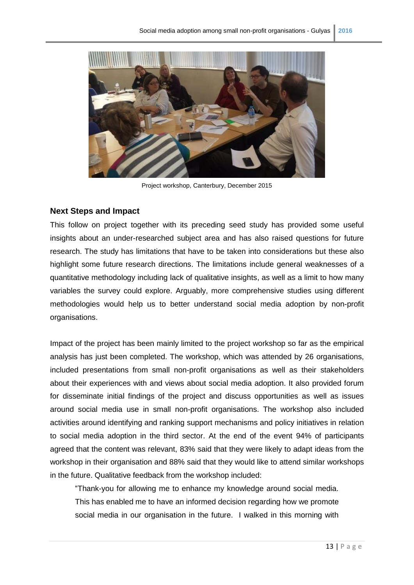

Project workshop, Canterbury, December 2015

#### **Next Steps and Impact**

This follow on project together with its preceding seed study has provided some useful insights about an under-researched subject area and has also raised questions for future research. The study has limitations that have to be taken into considerations but these also highlight some future research directions. The limitations include general weaknesses of a quantitative methodology including lack of qualitative insights, as well as a limit to how many variables the survey could explore. Arguably, more comprehensive studies using different methodologies would help us to better understand social media adoption by non-profit organisations.

Impact of the project has been mainly limited to the project workshop so far as the empirical analysis has just been completed. The workshop, which was attended by 26 organisations, included presentations from small non-profit organisations as well as their stakeholders about their experiences with and views about social media adoption. It also provided forum for disseminate initial findings of the project and discuss opportunities as well as issues around social media use in small non-profit organisations. The workshop also included activities around identifying and ranking support mechanisms and policy initiatives in relation to social media adoption in the third sector. At the end of the event 94% of participants agreed that the content was relevant, 83% said that they were likely to adapt ideas from the workshop in their organisation and 88% said that they would like to attend similar workshops in the future. Qualitative feedback from the workshop included:

"Thank-you for allowing me to enhance my knowledge around social media. This has enabled me to have an informed decision regarding how we promote social media in our organisation in the future. I walked in this morning with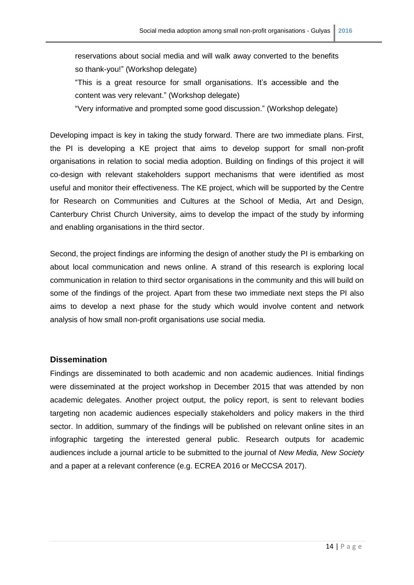reservations about social media and will walk away converted to the benefits so thank-you!" (Workshop delegate)

"This is a great resource for small organisations. It's accessible and the content was very relevant." (Workshop delegate)

"Very informative and prompted some good discussion." (Workshop delegate)

Developing impact is key in taking the study forward. There are two immediate plans. First, the PI is developing a KE project that aims to develop support for small non-profit organisations in relation to social media adoption. Building on findings of this project it will co-design with relevant stakeholders support mechanisms that were identified as most useful and monitor their effectiveness. The KE project, which will be supported by the Centre for Research on Communities and Cultures at the School of Media, Art and Design, Canterbury Christ Church University, aims to develop the impact of the study by informing and enabling organisations in the third sector.

Second, the project findings are informing the design of another study the PI is embarking on about local communication and news online. A strand of this research is exploring local communication in relation to third sector organisations in the community and this will build on some of the findings of the project. Apart from these two immediate next steps the PI also aims to develop a next phase for the study which would involve content and network analysis of how small non-profit organisations use social media.

#### **Dissemination**

Findings are disseminated to both academic and non academic audiences. Initial findings were disseminated at the project workshop in December 2015 that was attended by non academic delegates. Another project output, the policy report, is sent to relevant bodies targeting non academic audiences especially stakeholders and policy makers in the third sector. In addition, summary of the findings will be published on relevant online sites in an infographic targeting the interested general public. Research outputs for academic audiences include a journal article to be submitted to the journal of *New Media, New Society*  and a paper at a relevant conference (e.g. ECREA 2016 or MeCCSA 2017).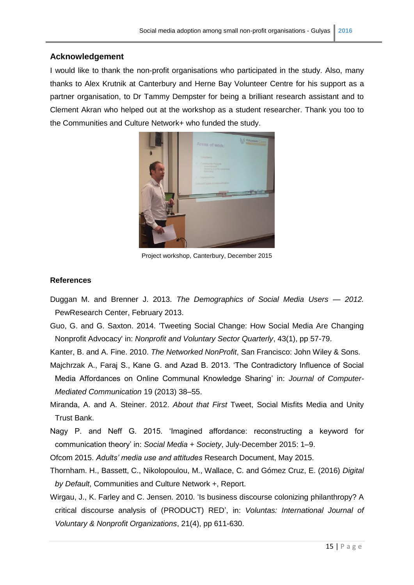#### **Acknowledgement**

I would like to thank the non-profit organisations who participated in the study. Also, many thanks to Alex Krutnik at Canterbury and Herne Bay Volunteer Centre for his support as a partner organisation, to Dr Tammy Dempster for being a brilliant research assistant and to Clement Akran who helped out at the workshop as a student researcher. Thank you too to the Communities and Culture Network+ who funded the study.



Project workshop, Canterbury, December 2015

#### **References**

- Duggan M. and Brenner J. 2013. *The Demographics of Social Media Users — 2012.*  PewResearch Center, February 2013.
- Guo, G. and G. Saxton. 2014. 'Tweeting Social Change: How Social Media Are Changing Nonprofit Advocacy' in: *Nonprofit and Voluntary Sector Quarterly*, 43(1), pp 57-79.

Kanter, B. and A. Fine. 2010. *The Networked NonProfit*, San Francisco: John Wiley & Sons.

- Majchrzak A., Faraj S., Kane G. and Azad B. 2013. 'The Contradictory Influence of Social Media Affordances on Online Communal Knowledge Sharing' in: *Journal of Computer-Mediated Communication* 19 (2013) 38–55.
- Miranda, A. and A. Steiner. 2012. *About that First* Tweet, Social Misfits Media and Unity Trust Bank.
- Nagy P. and Neff G. 2015. 'Imagined affordance: reconstructing a keyword for communication theory' in: *Social Media + Society*, July-December 2015: 1–9.
- Ofcom 2015. *Adults' media use and attitudes* Research Document, May 2015.
- Thornham. H., Bassett, C., Nikolopoulou, M., Wallace, C. and Gómez Cruz, E. (2016) *Digital by Default*, Communities and Culture Network +, Report.
- Wirgau, J., K. Farley and C. Jensen. 2010. 'Is business discourse colonizing philanthropy? A critical discourse analysis of (PRODUCT) RED', in: *Voluntas: International Journal of Voluntary & Nonprofit Organizations*, 21(4), pp 611-630.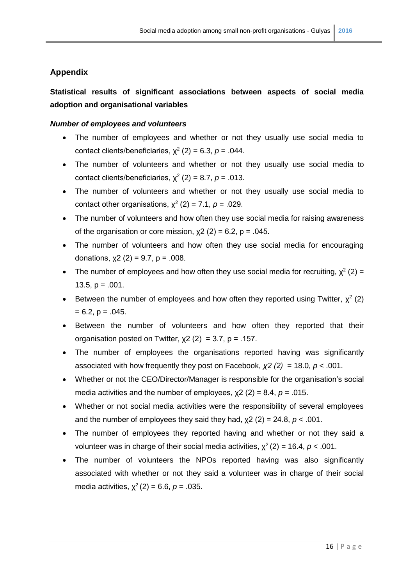## **Appendix**

# **Statistical results of significant associations between aspects of social media adoption and organisational variables**

## *Number of employees and volunteers*

- The number of employees and whether or not they usually use social media to contact clients/beneficiaries,  $\chi^2$  (2) = 6.3,  $p = .044$ .
- The number of volunteers and whether or not they usually use social media to contact clients/beneficiaries,  $\chi^2$  (2) = 8.7,  $p = .013$ .
- The number of volunteers and whether or not they usually use social media to contact other organisations,  $\chi^2$  (2) = 7.1,  $p = .029$ .
- The number of volunteers and how often they use social media for raising awareness of the organisation or core mission,  $x^2$  (2) = 6.2, p = .045.
- The number of volunteers and how often they use social media for encouraging donations,  $x(2) = 9.7$ ,  $p = .008$ .
- The number of employees and how often they use social media for recruiting,  $\chi^2$  (2) = 13.5,  $p = .001$ .
- Between the number of employees and how often they reported using Twitter,  $\chi^2$  (2)  $= 6.2, p = .045.$
- Between the number of volunteers and how often they reported that their organisation posted on Twitter,  $x^2$  (2) = 3.7, p = .157.
- The number of employees the organisations reported having was significantly associated with how frequently they post on Facebook, *χ2 (2)* = 18.0, *p* < .001.
- Whether or not the CEO/Director/Manager is responsible for the organisation's social media activities and the number of employees, χ2 (2) = 8.4, *p* = .015.
- Whether or not social media activities were the responsibility of several employees and the number of employees they said they had,  $\chi$ 2 (2) = 24.8,  $p$  < .001.
- The number of employees they reported having and whether or not they said a volunteer was in charge of their social media activities,  $\chi^2(2) = 16.4$ ,  $p < .001$ .
- The number of volunteers the NPOs reported having was also significantly associated with whether or not they said a volunteer was in charge of their social media activities,  $\chi^2$  (2) = 6.6,  $p = .035$ .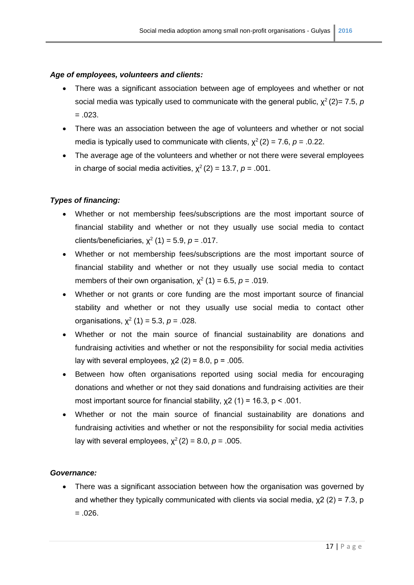#### *Age of employees, volunteers and clients:*

- There was a significant association between age of employees and whether or not social media was typically used to communicate with the general public,  $\chi^2(2)$ = 7.5, *p*  $=.023.$
- There was an association between the age of volunteers and whether or not social media is typically used to communicate with clients,  $\chi^2(2) = 7.6$ ,  $p = .0.22$ .
- The average age of the volunteers and whether or not there were several employees in charge of social media activities,  $\chi^2(2) = 13.7$ ,  $p = .001$ .

#### *Types of financing:*

- Whether or not membership fees/subscriptions are the most important source of financial stability and whether or not they usually use social media to contact clients/beneficiaries,  $\chi^2$  (1) = 5.9,  $p = .017$ .
- Whether or not membership fees/subscriptions are the most important source of financial stability and whether or not they usually use social media to contact members of their own organisation,  $\chi^2$  (1) = 6.5, *p* = .019.
- Whether or not grants or core funding are the most important source of financial stability and whether or not they usually use social media to contact other organisations,  $\chi^2$  (1) = 5.3,  $p = .028$ .
- Whether or not the main source of financial sustainability are donations and fundraising activities and whether or not the responsibility for social media activities lay with several employees,  $x^2$  (2) = 8.0, p = .005.
- Between how often organisations reported using social media for encouraging donations and whether or not they said donations and fundraising activities are their most important source for financial stability,  $x^2$  (1) = 16.3, p < .001.
- Whether or not the main source of financial sustainability are donations and fundraising activities and whether or not the responsibility for social media activities lay with several employees,  $\chi^2(2) = 8.0$ ,  $p = .005$ .

#### *Governance:*

• There was a significant association between how the organisation was governed by and whether they typically communicated with clients via social media,  $\chi$ 2 (2) = 7.3, p  $=.026.$